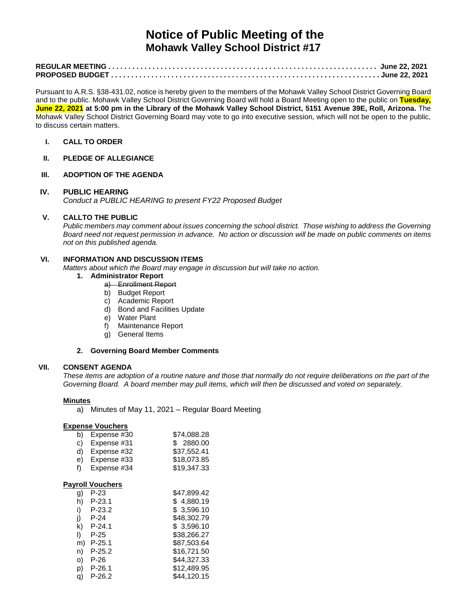# **Notice of Public Meeting of the Mohawk Valley School District #17**

Pursuant to A.R.S. §38-431.02, notice is hereby given to the members of the Mohawk Valley School District Governing Board and to the public. Mohawk Valley School District Governing Board will hold a Board Meeting open to the public on **Tuesday, June 22, 2021 at 5:00 pm in the Library of the Mohawk Valley School District, 5151 Avenue 39E, Roll, Arizona.** The Mohawk Valley School District Governing Board may vote to go into executive session, which will not be open to the public, to discuss certain matters.

## **I. CALL TO ORDER**

**II. PLEDGE OF ALLEGIANCE**

# **III. ADOPTION OF THE AGENDA**

## **IV. PUBLIC HEARING**

*Conduct a PUBLIC HEARING to present FY22 Proposed Budget*

# **V. CALLTO THE PUBLIC**

*Public members may comment about issues concerning the school district. Those wishing to address the Governing Board need not request permission in advance. No action or discussion will be made on public comments on items not on this published agenda.*

# **VI. INFORMATION AND DISCUSSION ITEMS**

*Matters about which the Board may engage in discussion but will take no action.* 

- **1. Administrator Report**
	- a) Enrollment Report
	- b) Budget Report
	- c) Academic Report
	- d) Bond and Facilities Update
	- e) Water Plant
	- f) Maintenance Report
	- g) General Items

#### **2. Governing Board Member Comments**

## **VII. CONSENT AGENDA**

*These items are adoption of a routine nature and those that normally do not require deliberations on the part of the Governing Board. A board member may pull items, which will then be discussed and voted on separately.*

#### **Minutes**

a) Minutes of May 11, 2021 – Regular Board Meeting

#### **Expense Vouchers**

| b)                      | Expense #30 | \$74,088.28 |  |  |
|-------------------------|-------------|-------------|--|--|
| C)                      | Expense #31 | \$2880.00   |  |  |
| d)                      | Expense #32 | \$37.552.41 |  |  |
| e)                      | Expense #33 | \$18.073.85 |  |  |
| f)                      | Expense #34 | \$19,347.33 |  |  |
| <b>Payroll Vouchers</b> |             |             |  |  |
| g)                      | $P-23$      | \$47.899.42 |  |  |
| h)                      | $P-23.1$    | \$4,880.19  |  |  |
| i)                      | $P-23.2$    | \$3,596.10  |  |  |
| j)                      | P-24        | \$48,302.79 |  |  |
| k)                      | $P-24.1$    | \$3,596.10  |  |  |
| I)                      | $P-25$      | \$38,266.27 |  |  |
| m)                      | $P-25.1$    | \$87,503.64 |  |  |
| n)                      | $P-25.2$    | \$16,721.50 |  |  |
| O)                      | P-26        | \$44,327.33 |  |  |
| p)                      | $P-26.1$    | \$12,489.95 |  |  |

 $\overline{q}$  P-26.2  $\overline{q}$  \$44,120.15